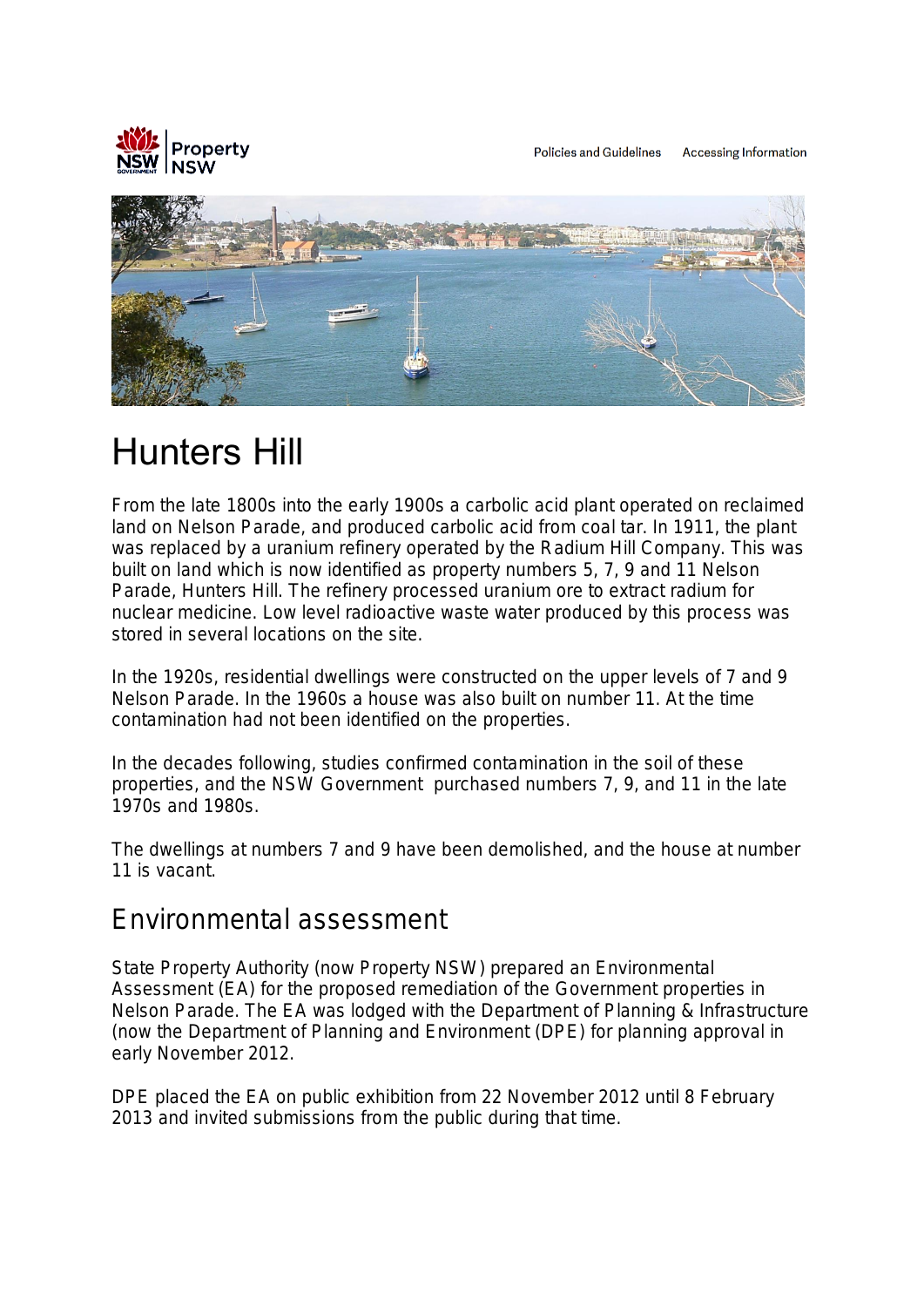

Policies and Guidelines Accessing Information



# Hunters Hill

From the late 1800s into the early 1900s a carbolic acid plant operated on reclaimed land on Nelson Parade, and produced carbolic acid from coal tar. In 1911, the plant was replaced by a uranium refinery operated by the Radium Hill Company. This was built on land which is now identified as property numbers 5, 7, 9 and 11 Nelson Parade, Hunters Hill. The refinery processed uranium ore to extract radium for nuclear medicine. Low level radioactive waste water produced by this process was stored in several locations on the site.

In the 1920s, residential dwellings were constructed on the upper levels of 7 and 9 Nelson Parade. In the 1960s a house was also built on number 11. At the time contamination had not been identified on the properties.

In the decades following, studies confirmed contamination in the soil of these properties, and the NSW Government purchased numbers 7, 9, and 11 in the late 1970s and 1980s.

The dwellings at numbers 7 and 9 have been demolished, and the house at number 11 is vacant.

#### Environmental assessment

State Property Authority (now Property NSW) prepared an Environmental Assessment (EA) for the proposed remediation of the Government properties in Nelson Parade. The EA was lodged with the Department of Planning & Infrastructure (now the Department of Planning and Environment (DPE) for planning approval in early November 2012.

DPE placed the EA on public exhibition from 22 November 2012 until 8 February 2013 and invited submissions from the public during that time.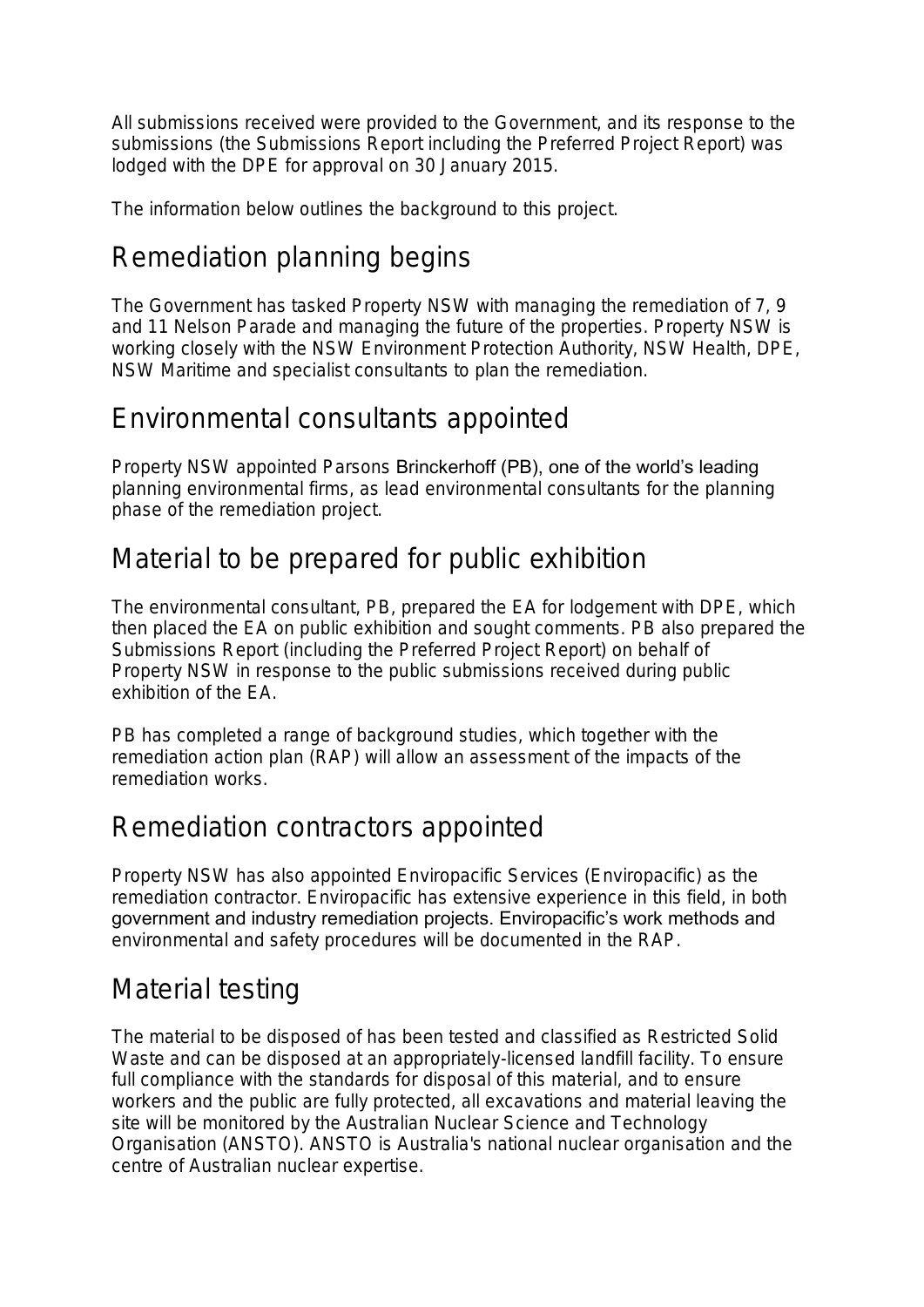All submissions received were provided to the Government, and its response to the submissions (the Submissions Report including the Preferred Project Report) was lodged with the DPE for approval on 30 January 2015.

The information below outlines the background to this project.

# Remediation planning begins

The Government has tasked Property NSW with managing the remediation of 7, 9 and 11 Nelson Parade and managing the future of the properties. Property NSW is working closely with the NSW Environment Protection Authority, NSW Health, DPE, NSW Maritime and specialist consultants to plan the remediation.

#### Environmental consultants appointed

Property NSW appointed Parsons Brinckerhoff (PB), one of the world's leading planning environmental firms, as lead environmental consultants for the planning phase of the remediation project.

## Material to be prepared for public exhibition

The environmental consultant, PB, prepared the EA for lodgement with DPE, which then placed the EA on public exhibition and sought comments. PB also prepared the Submissions Report (including the Preferred Project Report) on behalf of Property NSW in response to the public submissions received during public exhibition of the EA.

PB has completed a range of background studies, which together with the remediation action plan (RAP) will allow an assessment of the impacts of the remediation works.

#### Remediation contractors appointed

Property NSW has also appointed Enviropacific Services (Enviropacific) as the remediation contractor. Enviropacific has extensive experience in this field, in both government and industry remediation projects. Enviropacific's work methods and environmental and safety procedures will be documented in the RAP.

# Material testing

The material to be disposed of has been tested and classified as Restricted Solid Waste and can be disposed at an appropriately-licensed landfill facility. To ensure full compliance with the standards for disposal of this material, and to ensure workers and the public are fully protected, all excavations and material leaving the site will be monitored by the Australian Nuclear Science and Technology Organisation (ANSTO). ANSTO is Australia's national nuclear organisation and the centre of Australian nuclear expertise.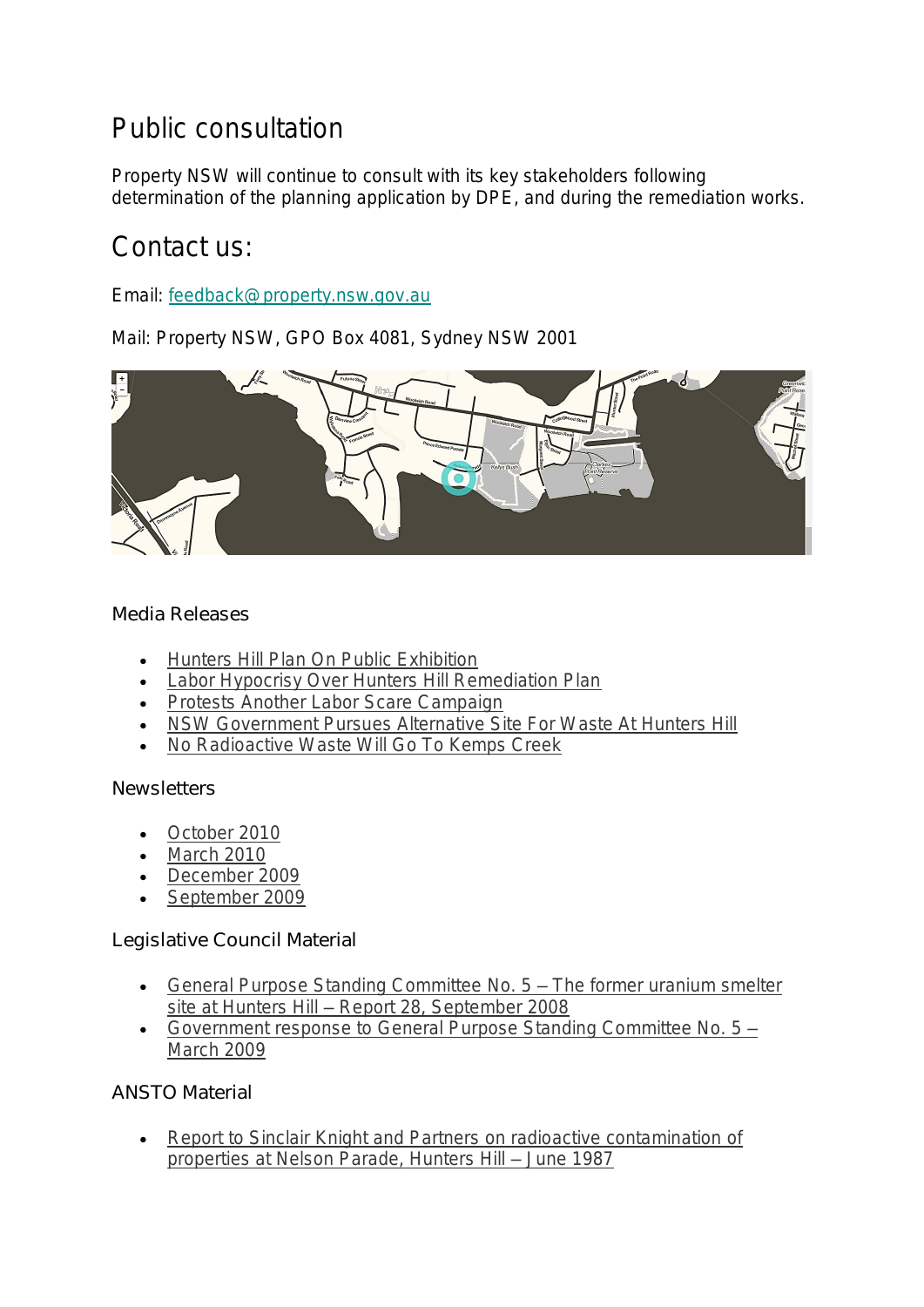# Public consultation

Property NSW will continue to consult with its key stakeholders following determination of the planning application by DPE, and during the remediation works.

#### Contact us:

Email: [feedback@property.nsw.gov.au](mailto:gpnswservicecentre@property.nsw.gov.au)

Mail: Property NSW, GPO Box 4081, Sydney NSW 2001



Media Releases

- [Hunters Hill Plan On Public Exhibition](https://www.finance.nsw.gov.au/about-us/media-releases/hunters-hill-plan-public-exhibition)
- [Labor Hypocrisy Over Hunters Hill Remediation Plan](https://www.finance.nsw.gov.au/about-us/media-releases/labor-hypocrisy-over-hunters-hill-remediation-plan)
- [Protests Another Labor Scare Campaign](https://www.finance.nsw.gov.au/about-us/media-releases/protests-another-labor-scare-campaign)
- [NSW Government Pursues Alternative Site For Waste At Hunters Hill](https://www.finance.nsw.gov.au/about-us/media-releases/nsw-government-pursues-alternative-site-waste-hunters-hill)
- [No Radioactive Waste Will Go To Kemps Creek](https://www.property.nsw.gov.au/sites/default/files/Minister_Pearce_media_release_-_311011_0.pdf)

**Newsletters** 

- [October 2010](https://www.property.nsw.gov.au/sites/default/files/Nelson_Parade_Newsletter_-_October_2010_-_Electronic_version_final_0.pdf)
- [March 2010](https://www.property.nsw.gov.au/sites/default/files/2010-03-25_Nelson_Parade_Newsletter_0.pdf)
- [December 2009](https://www.property.nsw.gov.au/sites/default/files/2009-12-09_Nelson_Parade_Newsletter_0.pdf)
- [September 2009](https://www.property.nsw.gov.au/sites/default/files/2009-09-25_Nelson_Parade_Newsletter_0_0.pdf)

Legislative Council Material

- [General Purpose Standing Committee No. 5 –](https://www.property.nsw.gov.au/sites/default/files/LC_Parliamentary_inquiry_0.pdf) The former uranium smelter site at Hunters Hill – [Report 28, September 2008](https://www.property.nsw.gov.au/sites/default/files/LC_Parliamentary_inquiry_0.pdf)
- [Government response to General Purpose Standing Committee No. 5 –](https://www.property.nsw.gov.au/sites/default/files/LC_090326_Govt_Response_-_Former_uranium_smelter_site_0.pdf) [March 2009](https://www.property.nsw.gov.au/sites/default/files/LC_090326_Govt_Response_-_Former_uranium_smelter_site_0.pdf)

ANSTO Material

• [Report to Sinclair Knight and Partners on radioactive contamination of](https://www.property.nsw.gov.au/sites/default/files/ANSTO_Radioactive_Contamination_at_Nelson_Parade2_0.pdf)  [properties at Nelson Parade, Hunters Hill –](https://www.property.nsw.gov.au/sites/default/files/ANSTO_Radioactive_Contamination_at_Nelson_Parade2_0.pdf) June 1987